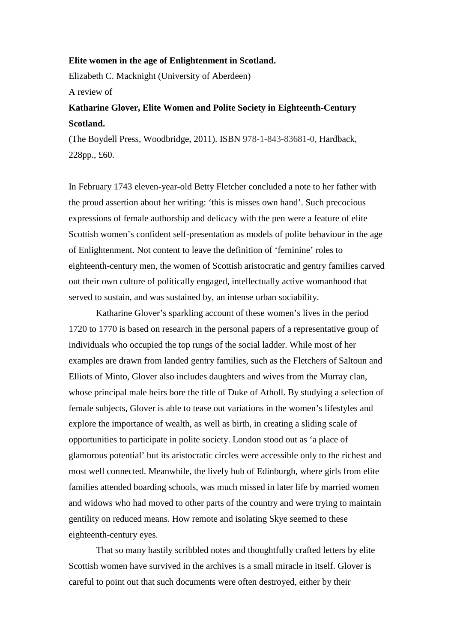## **Elite women in the age of Enlightenment in Scotland.**

Elizabeth C. Macknight (University of Aberdeen)

A review of

## **Katharine Glover, Elite Women and Polite Society in Eighteenth-Century Scotland.**

(The Boydell Press, Woodbridge, 2011). ISBN 978-1-843-83681-0, Hardback, 228pp., £60.

In February 1743 eleven-year-old Betty Fletcher concluded a note to her father with the proud assertion about her writing: 'this is misses own hand'. Such precocious expressions of female authorship and delicacy with the pen were a feature of elite Scottish women's confident self-presentation as models of polite behaviour in the age of Enlightenment. Not content to leave the definition of 'feminine' roles to eighteenth-century men, the women of Scottish aristocratic and gentry families carved out their own culture of politically engaged, intellectually active womanhood that served to sustain, and was sustained by, an intense urban sociability.

Katharine Glover's sparkling account of these women's lives in the period 1720 to 1770 is based on research in the personal papers of a representative group of individuals who occupied the top rungs of the social ladder. While most of her examples are drawn from landed gentry families, such as the Fletchers of Saltoun and Elliots of Minto, Glover also includes daughters and wives from the Murray clan, whose principal male heirs bore the title of Duke of Atholl. By studying a selection of female subjects, Glover is able to tease out variations in the women's lifestyles and explore the importance of wealth, as well as birth, in creating a sliding scale of opportunities to participate in polite society. London stood out as 'a place of glamorous potential' but its aristocratic circles were accessible only to the richest and most well connected. Meanwhile, the lively hub of Edinburgh, where girls from elite families attended boarding schools, was much missed in later life by married women and widows who had moved to other parts of the country and were trying to maintain gentility on reduced means. How remote and isolating Skye seemed to these eighteenth-century eyes.

That so many hastily scribbled notes and thoughtfully crafted letters by elite Scottish women have survived in the archives is a small miracle in itself. Glover is careful to point out that such documents were often destroyed, either by their